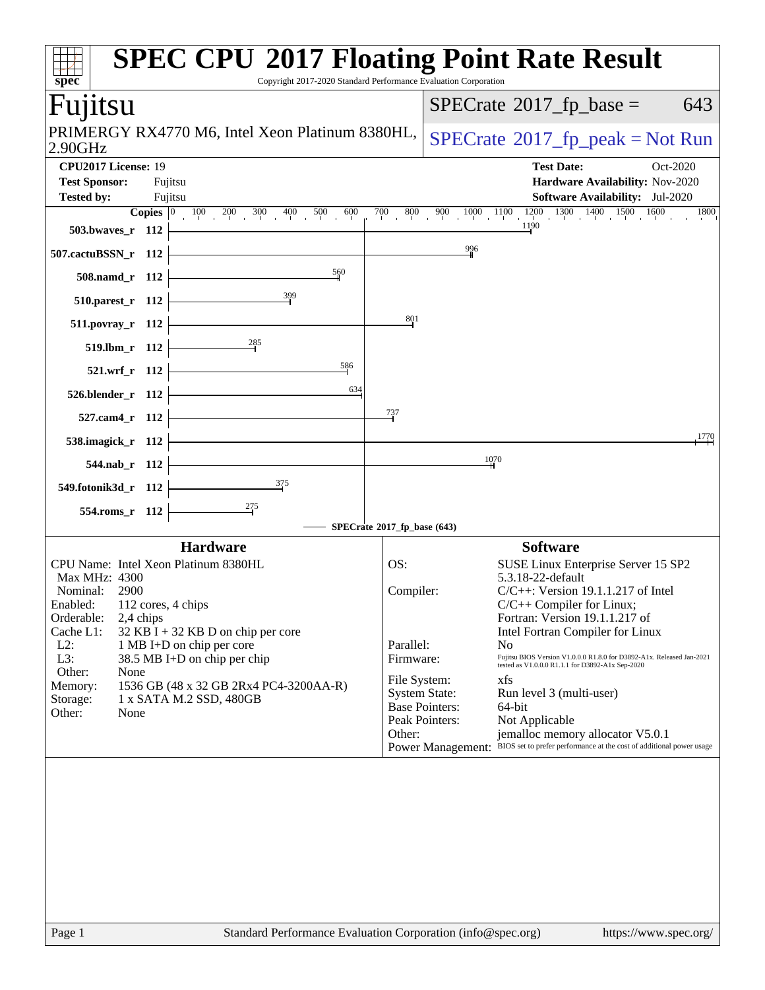| $SPECrate^{\circledast}2017$ _fp_base =<br>Fuµtsu<br>PRIMERGY RX4770 M6, Intel Xeon Platinum 8380HL,<br>$SPECrate^{\circ}2017$ [p_peak = Not Run<br>2.90GHz<br>CPU2017 License: 19<br><b>Test Date:</b><br>Oct-2020<br><b>Test Sponsor:</b><br>Fujitsu<br>Hardware Availability: Nov-2020<br>Software Availability: Jul-2020<br><b>Tested by:</b><br>Fujitsu<br>$800$ $900$ $1000$ $1100$ $1200$ $1300$ $1400$ $1500$ $1600$<br><b>Copies</b> $\begin{array}{ c c c c c }\n\hline\n100 & 100 & 200 & 300 & 400 \\ \hline\n0 & 100 & 300 & 400 & 500 \\ \hline\n\end{array}$<br>700<br>1190<br>503.bwaves_r 112<br>996<br>507.cactuBSSN_r 112<br>560<br>508.namd_r 112<br>510.parest_r 112<br>801<br>511.povray_r 112<br>285<br>519.lbm_r 112<br>586<br>521.wrf_r 112<br>634<br>526.blender_r 112<br><u>73</u> 7<br>527.cam4_r 112<br>1770<br>538.imagick_r 112<br>1070<br>544.nab_r 112<br>$\frac{375}{2}$<br>549.fotonik3d_r 112<br>275<br>554.roms_r 112<br>SPECrate®2017_fp_base (643)<br><b>Software</b><br><b>Hardware</b><br>CPU Name: Intel Xeon Platinum 8380HL<br>SUSE Linux Enterprise Server 15 SP2<br>OS:<br>5.3.18-22-default<br>Max MHz: 4300<br>Nominal:<br>2900<br>Compiler:<br>$C/C++$ : Version 19.1.1.217 of Intel<br>Enabled: 112 cores, 4 chips<br>$C/C++$ Compiler for Linux;<br>Orderable:<br>2,4 chips<br>Fortran: Version 19.1.1.217 of<br>Cache L1:<br>$32$ KB I + 32 KB D on chip per core<br>Intel Fortran Compiler for Linux<br>$L2$ :<br>1 MB I+D on chip per core<br>Parallel:<br>No<br>L3:<br>Fujitsu BIOS Version V1.0.0.0 R1.8.0 for D3892-A1x. Released Jan-2021 tested as V1.0.0.0 R1.1.1 for D3892-A1x Sep-2020<br>38.5 MB I+D on chip per chip<br>Firmware:<br>Other:<br>None<br>File System:<br>xfs<br>1536 GB (48 x 32 GB 2Rx4 PC4-3200AA-R)<br>Memory:<br><b>System State:</b><br>Run level 3 (multi-user)<br>Storage:<br>1 x SATA M.2 SSD, 480GB<br><b>Base Pointers:</b><br>64-bit<br>Other:<br>None<br>Peak Pointers:<br>Not Applicable<br>Other:<br>jemalloc memory allocator V5.0.1<br>BIOS set to prefer performance at the cost of additional power usage<br><b>Power Management:</b> | $spec^*$ | <b>SPEC CPU®2017 Floating Point Rate Result</b><br>Copyright 2017-2020 Standard Performance Evaluation Corporation |
|---------------------------------------------------------------------------------------------------------------------------------------------------------------------------------------------------------------------------------------------------------------------------------------------------------------------------------------------------------------------------------------------------------------------------------------------------------------------------------------------------------------------------------------------------------------------------------------------------------------------------------------------------------------------------------------------------------------------------------------------------------------------------------------------------------------------------------------------------------------------------------------------------------------------------------------------------------------------------------------------------------------------------------------------------------------------------------------------------------------------------------------------------------------------------------------------------------------------------------------------------------------------------------------------------------------------------------------------------------------------------------------------------------------------------------------------------------------------------------------------------------------------------------------------------------------------------------------------------------------------------------------------------------------------------------------------------------------------------------------------------------------------------------------------------------------------------------------------------------------------------------------------------------------------------------------------------------------------------------------------------------------------------------------------------------------------------------------------------------------------------------------|----------|--------------------------------------------------------------------------------------------------------------------|
|                                                                                                                                                                                                                                                                                                                                                                                                                                                                                                                                                                                                                                                                                                                                                                                                                                                                                                                                                                                                                                                                                                                                                                                                                                                                                                                                                                                                                                                                                                                                                                                                                                                                                                                                                                                                                                                                                                                                                                                                                                                                                                                                       |          | 643                                                                                                                |
|                                                                                                                                                                                                                                                                                                                                                                                                                                                                                                                                                                                                                                                                                                                                                                                                                                                                                                                                                                                                                                                                                                                                                                                                                                                                                                                                                                                                                                                                                                                                                                                                                                                                                                                                                                                                                                                                                                                                                                                                                                                                                                                                       |          |                                                                                                                    |
|                                                                                                                                                                                                                                                                                                                                                                                                                                                                                                                                                                                                                                                                                                                                                                                                                                                                                                                                                                                                                                                                                                                                                                                                                                                                                                                                                                                                                                                                                                                                                                                                                                                                                                                                                                                                                                                                                                                                                                                                                                                                                                                                       |          | $\overline{1800}$                                                                                                  |
|                                                                                                                                                                                                                                                                                                                                                                                                                                                                                                                                                                                                                                                                                                                                                                                                                                                                                                                                                                                                                                                                                                                                                                                                                                                                                                                                                                                                                                                                                                                                                                                                                                                                                                                                                                                                                                                                                                                                                                                                                                                                                                                                       |          |                                                                                                                    |
|                                                                                                                                                                                                                                                                                                                                                                                                                                                                                                                                                                                                                                                                                                                                                                                                                                                                                                                                                                                                                                                                                                                                                                                                                                                                                                                                                                                                                                                                                                                                                                                                                                                                                                                                                                                                                                                                                                                                                                                                                                                                                                                                       |          |                                                                                                                    |
|                                                                                                                                                                                                                                                                                                                                                                                                                                                                                                                                                                                                                                                                                                                                                                                                                                                                                                                                                                                                                                                                                                                                                                                                                                                                                                                                                                                                                                                                                                                                                                                                                                                                                                                                                                                                                                                                                                                                                                                                                                                                                                                                       |          |                                                                                                                    |
|                                                                                                                                                                                                                                                                                                                                                                                                                                                                                                                                                                                                                                                                                                                                                                                                                                                                                                                                                                                                                                                                                                                                                                                                                                                                                                                                                                                                                                                                                                                                                                                                                                                                                                                                                                                                                                                                                                                                                                                                                                                                                                                                       |          |                                                                                                                    |
|                                                                                                                                                                                                                                                                                                                                                                                                                                                                                                                                                                                                                                                                                                                                                                                                                                                                                                                                                                                                                                                                                                                                                                                                                                                                                                                                                                                                                                                                                                                                                                                                                                                                                                                                                                                                                                                                                                                                                                                                                                                                                                                                       |          |                                                                                                                    |
|                                                                                                                                                                                                                                                                                                                                                                                                                                                                                                                                                                                                                                                                                                                                                                                                                                                                                                                                                                                                                                                                                                                                                                                                                                                                                                                                                                                                                                                                                                                                                                                                                                                                                                                                                                                                                                                                                                                                                                                                                                                                                                                                       |          |                                                                                                                    |
|                                                                                                                                                                                                                                                                                                                                                                                                                                                                                                                                                                                                                                                                                                                                                                                                                                                                                                                                                                                                                                                                                                                                                                                                                                                                                                                                                                                                                                                                                                                                                                                                                                                                                                                                                                                                                                                                                                                                                                                                                                                                                                                                       |          |                                                                                                                    |
|                                                                                                                                                                                                                                                                                                                                                                                                                                                                                                                                                                                                                                                                                                                                                                                                                                                                                                                                                                                                                                                                                                                                                                                                                                                                                                                                                                                                                                                                                                                                                                                                                                                                                                                                                                                                                                                                                                                                                                                                                                                                                                                                       |          |                                                                                                                    |
| Standard Performance Evaluation Corporation (info@spec.org)                                                                                                                                                                                                                                                                                                                                                                                                                                                                                                                                                                                                                                                                                                                                                                                                                                                                                                                                                                                                                                                                                                                                                                                                                                                                                                                                                                                                                                                                                                                                                                                                                                                                                                                                                                                                                                                                                                                                                                                                                                                                           | Page 1   | https://www.spec.org/                                                                                              |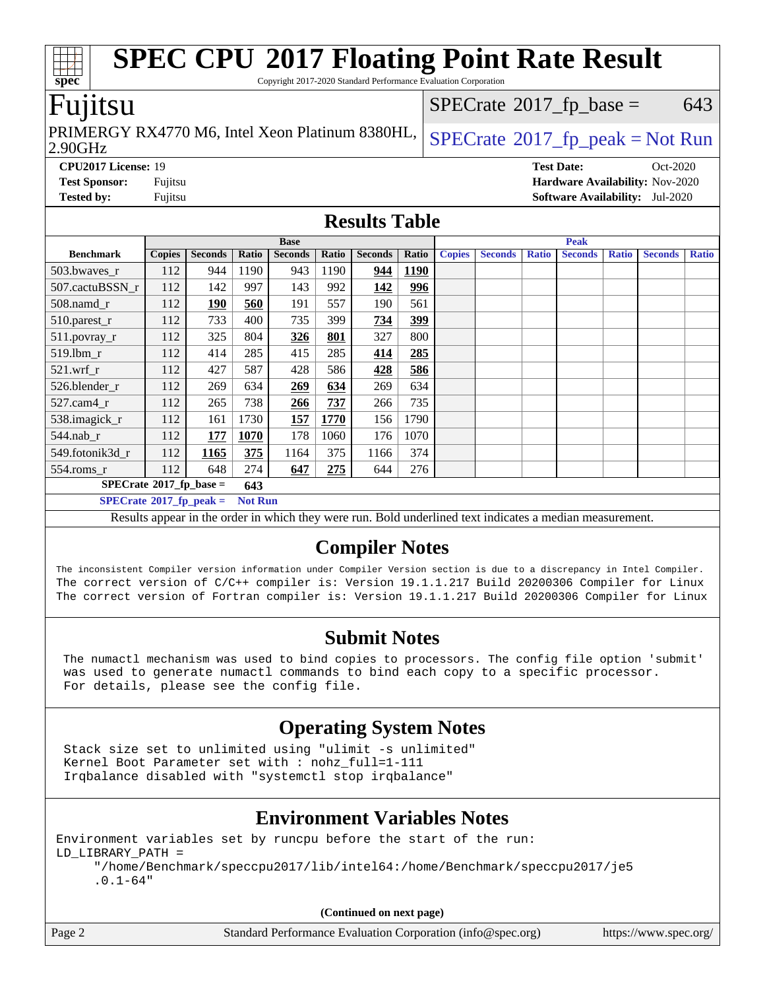| <b>SPEC CPU®2017 Floating Point Rate Result</b><br>$spec*$<br>Copyright 2017-2020 Standard Performance Evaluation Corporation                                                                                                                                |                                                                    |                                           |       |                |       |                |             |               |                |              |                |              |                |              |
|--------------------------------------------------------------------------------------------------------------------------------------------------------------------------------------------------------------------------------------------------------------|--------------------------------------------------------------------|-------------------------------------------|-------|----------------|-------|----------------|-------------|---------------|----------------|--------------|----------------|--------------|----------------|--------------|
| Fujitsu<br>$SPECrate^{\circledast}2017$ _fp_base =<br>643                                                                                                                                                                                                    |                                                                    |                                           |       |                |       |                |             |               |                |              |                |              |                |              |
| PRIMERGY RX4770 M6, Intel Xeon Platinum 8380HL,<br>$SPECrate@2017_fp\_peak = Not Run$<br>2.90GHz                                                                                                                                                             |                                                                    |                                           |       |                |       |                |             |               |                |              |                |              |                |              |
| CPU2017 License: 19<br><b>Test Date:</b><br>Oct-2020                                                                                                                                                                                                         |                                                                    |                                           |       |                |       |                |             |               |                |              |                |              |                |              |
|                                                                                                                                                                                                                                                              | <b>Test Sponsor:</b><br>Fujitsu<br>Hardware Availability: Nov-2020 |                                           |       |                |       |                |             |               |                |              |                |              |                |              |
| <b>Tested by:</b><br>Fujitsu<br><b>Software Availability:</b> Jul-2020                                                                                                                                                                                       |                                                                    |                                           |       |                |       |                |             |               |                |              |                |              |                |              |
| <b>Results Table</b>                                                                                                                                                                                                                                         |                                                                    |                                           |       |                |       |                |             |               |                |              |                |              |                |              |
| <b>Base</b><br><b>Peak</b>                                                                                                                                                                                                                                   |                                                                    |                                           |       |                |       |                |             |               |                |              |                |              |                |              |
| <b>Benchmark</b>                                                                                                                                                                                                                                             | <b>Copies</b>                                                      | <b>Seconds</b>                            | Ratio | <b>Seconds</b> | Ratio | <b>Seconds</b> | Ratio       | <b>Copies</b> | <b>Seconds</b> | <b>Ratio</b> | <b>Seconds</b> | <b>Ratio</b> | <b>Seconds</b> | <b>Ratio</b> |
| 503.bwaves_r                                                                                                                                                                                                                                                 | 112                                                                | 944                                       | 1190  | 943            | 1190  | 944            | <b>1190</b> |               |                |              |                |              |                |              |
| 507.cactuBSSN r                                                                                                                                                                                                                                              | 112                                                                | 142                                       | 997   | 143            | 992   | 142            | 996         |               |                |              |                |              |                |              |
| 508.namd_r                                                                                                                                                                                                                                                   | 112                                                                | 190                                       | 560   | 191            | 557   | 190            | 561         |               |                |              |                |              |                |              |
| 510.parest_r                                                                                                                                                                                                                                                 | 112                                                                | 733                                       | 400   | 735            | 399   | 734            | 399         |               |                |              |                |              |                |              |
| 511.povray_r                                                                                                                                                                                                                                                 | 112                                                                | 325                                       | 804   | 326            | 801   | 327            | 800         |               |                |              |                |              |                |              |
| 519.1bm_r                                                                                                                                                                                                                                                    | 112                                                                | 414                                       | 285   | 415            | 285   | 414            | 285         |               |                |              |                |              |                |              |
| 521.wrf r                                                                                                                                                                                                                                                    | 112                                                                | 427                                       | 587   | 428            | 586   | 428            | 586         |               |                |              |                |              |                |              |
| 526.blender_r                                                                                                                                                                                                                                                | 112                                                                | 269                                       | 634   | 269            | 634   | 269            | 634         |               |                |              |                |              |                |              |
| 527.cam4_r                                                                                                                                                                                                                                                   | 112                                                                | 265                                       | 738   | 266            | 737   | 266            | 735         |               |                |              |                |              |                |              |
| 538.imagick_r                                                                                                                                                                                                                                                | 112                                                                | 161                                       | 1730  | 157            | 1770  | 156            | 1790        |               |                |              |                |              |                |              |
| $544$ .nab_r                                                                                                                                                                                                                                                 | 112                                                                | 177                                       | 1070  | 178            | 1060  | 176            | 1070        |               |                |              |                |              |                |              |
| 549.fotonik3d_r                                                                                                                                                                                                                                              | 112                                                                | 1165                                      | 375   | 1164           | 375   | 1166           | 374         |               |                |              |                |              |                |              |
| $554$ .roms $r$                                                                                                                                                                                                                                              | 112                                                                | 648                                       | 274   | 647            | 275   | 644            | 276         |               |                |              |                |              |                |              |
| $SPECrate^{\circ}2017$ _fp_base =                                                                                                                                                                                                                            |                                                                    |                                           | 643   |                |       |                |             |               |                |              |                |              |                |              |
|                                                                                                                                                                                                                                                              |                                                                    | $SPECrate^{\circ}2017$ _fp_peak = Not Run |       |                |       |                |             |               |                |              |                |              |                |              |
|                                                                                                                                                                                                                                                              |                                                                    |                                           |       |                |       |                |             |               |                |              |                |              |                |              |
| Results appear in the order in which they were run. Bold underlined text indicates a median measurement.<br><b>Compiler Notes</b><br>The inconsistent Compiler version information under Compiler Version section is due to a discrepancy in Intel Compiler. |                                                                    |                                           |       |                |       |                |             |               |                |              |                |              |                |              |
| The correct version of C/C++ compiler is: Version 19.1.1.217 Build 20200306 Compiler for Linux<br>The correct version of Fortran compiler is: Version 19.1.1.217 Build 20200306 Compiler for Linux                                                           |                                                                    |                                           |       |                |       |                |             |               |                |              |                |              |                |              |

### **[Submit Notes](http://www.spec.org/auto/cpu2017/Docs/result-fields.html#SubmitNotes)**

 The numactl mechanism was used to bind copies to processors. The config file option 'submit' was used to generate numactl commands to bind each copy to a specific processor. For details, please see the config file.

### **[Operating System Notes](http://www.spec.org/auto/cpu2017/Docs/result-fields.html#OperatingSystemNotes)**

 Stack size set to unlimited using "ulimit -s unlimited" Kernel Boot Parameter set with : nohz\_full=1-111 Irqbalance disabled with "systemctl stop irqbalance"

### **[Environment Variables Notes](http://www.spec.org/auto/cpu2017/Docs/result-fields.html#EnvironmentVariablesNotes)**

Environment variables set by runcpu before the start of the run: LD\_LIBRARY\_PATH = "/home/Benchmark/speccpu2017/lib/intel64:/home/Benchmark/speccpu2017/je5 .0.1-64"

**(Continued on next page)**

|        | (Continued on next page)                                    |                       |
|--------|-------------------------------------------------------------|-----------------------|
| Page 2 | Standard Performance Evaluation Corporation (info@spec.org) | https://www.spec.org/ |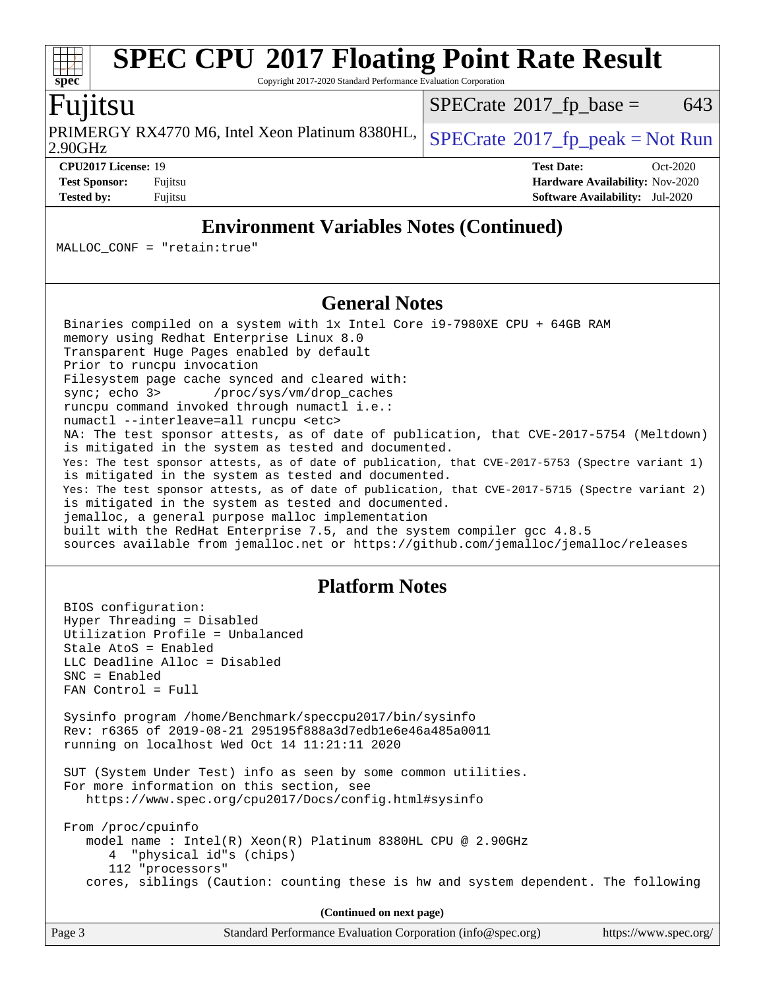#### **[spec](http://www.spec.org/) [SPEC CPU](http://www.spec.org/auto/cpu2017/Docs/result-fields.html#SPECCPU2017FloatingPointRateResult)[2017 Floating Point Rate Result](http://www.spec.org/auto/cpu2017/Docs/result-fields.html#SPECCPU2017FloatingPointRateResult)** Copyright 2017-2020 Standard Performance Evaluation Corporation Fujitsu 2.90GHz PRIMERGY RX4770 M6, Intel Xeon Platinum 8380HL,  $SPECrate^{\circ}2017\_fp\_peak = Not Run$  $SPECrate^{\circ}2017\_fp\_peak = Not Run$  $SPECTate$ <sup>®</sup>[2017\\_fp\\_base =](http://www.spec.org/auto/cpu2017/Docs/result-fields.html#SPECrate2017fpbase) 643 **[CPU2017 License:](http://www.spec.org/auto/cpu2017/Docs/result-fields.html#CPU2017License)** 19 **[Test Date:](http://www.spec.org/auto/cpu2017/Docs/result-fields.html#TestDate)** Oct-2020 **[Test Sponsor:](http://www.spec.org/auto/cpu2017/Docs/result-fields.html#TestSponsor)** Fujitsu **[Hardware Availability:](http://www.spec.org/auto/cpu2017/Docs/result-fields.html#HardwareAvailability)** Nov-2020

**[Tested by:](http://www.spec.org/auto/cpu2017/Docs/result-fields.html#Testedby)** Fujitsu **[Software Availability:](http://www.spec.org/auto/cpu2017/Docs/result-fields.html#SoftwareAvailability)** Jul-2020

### **[Environment Variables Notes \(Continued\)](http://www.spec.org/auto/cpu2017/Docs/result-fields.html#EnvironmentVariablesNotes)**

MALLOC\_CONF = "retain:true"

### **[General Notes](http://www.spec.org/auto/cpu2017/Docs/result-fields.html#GeneralNotes)**

 Binaries compiled on a system with 1x Intel Core i9-7980XE CPU + 64GB RAM memory using Redhat Enterprise Linux 8.0 Transparent Huge Pages enabled by default Prior to runcpu invocation Filesystem page cache synced and cleared with: sync; echo 3> /proc/sys/vm/drop\_caches runcpu command invoked through numactl i.e.: numactl --interleave=all runcpu <etc> NA: The test sponsor attests, as of date of publication, that CVE-2017-5754 (Meltdown) is mitigated in the system as tested and documented. Yes: The test sponsor attests, as of date of publication, that CVE-2017-5753 (Spectre variant 1) is mitigated in the system as tested and documented. Yes: The test sponsor attests, as of date of publication, that CVE-2017-5715 (Spectre variant 2) is mitigated in the system as tested and documented. jemalloc, a general purpose malloc implementation built with the RedHat Enterprise 7.5, and the system compiler gcc 4.8.5 sources available from jemalloc.net or<https://github.com/jemalloc/jemalloc/releases>

### **[Platform Notes](http://www.spec.org/auto/cpu2017/Docs/result-fields.html#PlatformNotes)**

 BIOS configuration: Hyper Threading = Disabled Utilization Profile = Unbalanced Stale AtoS = Enabled LLC Deadline Alloc = Disabled SNC = Enabled FAN Control = Full Sysinfo program /home/Benchmark/speccpu2017/bin/sysinfo Rev: r6365 of 2019-08-21 295195f888a3d7edb1e6e46a485a0011 running on localhost Wed Oct 14 11:21:11 2020 SUT (System Under Test) info as seen by some common utilities. For more information on this section, see <https://www.spec.org/cpu2017/Docs/config.html#sysinfo> From /proc/cpuinfo model name : Intel(R) Xeon(R) Platinum 8380HL CPU @ 2.90GHz 4 "physical id"s (chips) 112 "processors" cores, siblings (Caution: counting these is hw and system dependent. The following

**(Continued on next page)**

| Page 3 | Standard Performance Evaluation Corporation (info@spec.org) | https://www.spec.org/ |
|--------|-------------------------------------------------------------|-----------------------|
|        |                                                             |                       |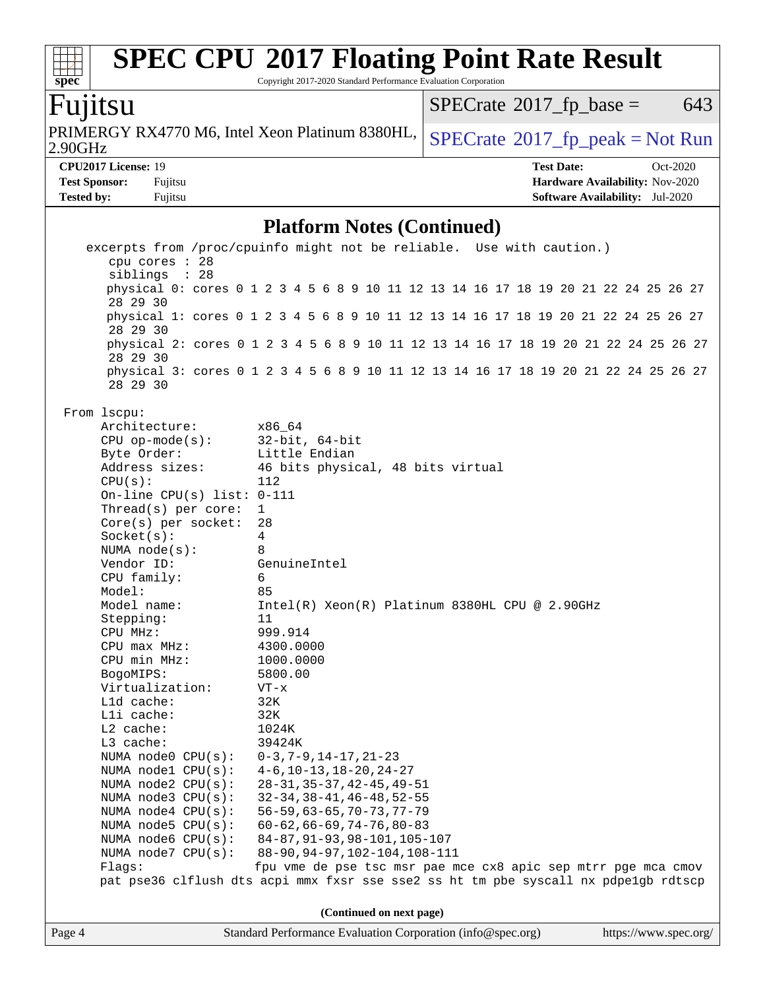# **[SPEC CPU](http://www.spec.org/auto/cpu2017/Docs/result-fields.html#SPECCPU2017FloatingPointRateResult)[2017 Floating Point Rate Result](http://www.spec.org/auto/cpu2017/Docs/result-fields.html#SPECCPU2017FloatingPointRateResult)**

Copyright 2017-2020 Standard Performance Evaluation Corporation

# Fujitsu

**[spec](http://www.spec.org/)**

2.90GHz PRIMERGY RX4770 M6, Intel Xeon Platinum 8380HL,  $SPECrate@2017_fp\_peak = Not Run$  $SPECrate@2017_fp\_peak = Not Run$ 

 $SPECTate@2017_fp\_base = 643$ 

**[CPU2017 License:](http://www.spec.org/auto/cpu2017/Docs/result-fields.html#CPU2017License)** 19 **[Test Date:](http://www.spec.org/auto/cpu2017/Docs/result-fields.html#TestDate)** Oct-2020 **[Test Sponsor:](http://www.spec.org/auto/cpu2017/Docs/result-fields.html#TestSponsor)** Fujitsu **[Hardware Availability:](http://www.spec.org/auto/cpu2017/Docs/result-fields.html#HardwareAvailability)** Nov-2020 **[Tested by:](http://www.spec.org/auto/cpu2017/Docs/result-fields.html#Testedby)** Fujitsu **[Software Availability:](http://www.spec.org/auto/cpu2017/Docs/result-fields.html#SoftwareAvailability)** Jul-2020

### **[Platform Notes \(Continued\)](http://www.spec.org/auto/cpu2017/Docs/result-fields.html#PlatformNotes)**

|        | excerpts from /proc/cpuinfo might not be reliable. Use with caution.)                           |                                                               |  |  |                          |  |  |  |  |  |  |  |  |  |                       |
|--------|-------------------------------------------------------------------------------------------------|---------------------------------------------------------------|--|--|--------------------------|--|--|--|--|--|--|--|--|--|-----------------------|
|        | cpu cores : 28                                                                                  |                                                               |  |  |                          |  |  |  |  |  |  |  |  |  |                       |
|        | siblings : 28                                                                                   |                                                               |  |  |                          |  |  |  |  |  |  |  |  |  |                       |
|        | physical 0: cores 0 1 2 3 4 5 6 8 9 10 11 12 13 14 16 17 18 19 20 21 22 24 25 26 27<br>28 29 30 |                                                               |  |  |                          |  |  |  |  |  |  |  |  |  |                       |
|        | physical 1: cores 0 1 2 3 4 5 6 8 9 10 11 12 13 14 16 17 18 19 20 21 22 24 25 26 27<br>28 29 30 |                                                               |  |  |                          |  |  |  |  |  |  |  |  |  |                       |
|        | physical 2: cores 0 1 2 3 4 5 6 8 9 10 11 12 13 14 16 17 18 19 20 21 22 24 25 26 27<br>28 29 30 |                                                               |  |  |                          |  |  |  |  |  |  |  |  |  |                       |
|        | physical 3: cores 0 1 2 3 4 5 6 8 9 10 11 12 13 14 16 17 18 19 20 21 22 24 25 26 27<br>28 29 30 |                                                               |  |  |                          |  |  |  |  |  |  |  |  |  |                       |
|        | From lscpu:                                                                                     |                                                               |  |  |                          |  |  |  |  |  |  |  |  |  |                       |
|        | Architecture:                                                                                   | x86_64                                                        |  |  |                          |  |  |  |  |  |  |  |  |  |                       |
|        | $CPU$ op-mode( $s$ ):                                                                           | $32$ -bit, $64$ -bit                                          |  |  |                          |  |  |  |  |  |  |  |  |  |                       |
|        | Byte Order:                                                                                     | Little Endian                                                 |  |  |                          |  |  |  |  |  |  |  |  |  |                       |
|        | Address sizes:                                                                                  | 46 bits physical, 48 bits virtual                             |  |  |                          |  |  |  |  |  |  |  |  |  |                       |
|        | CPU(s):                                                                                         | 112                                                           |  |  |                          |  |  |  |  |  |  |  |  |  |                       |
|        | On-line CPU(s) list: $0-111$                                                                    |                                                               |  |  |                          |  |  |  |  |  |  |  |  |  |                       |
|        | Thread(s) per core:                                                                             | $\mathbf{1}$                                                  |  |  |                          |  |  |  |  |  |  |  |  |  |                       |
|        | $Core(s)$ per socket:                                                                           | 28                                                            |  |  |                          |  |  |  |  |  |  |  |  |  |                       |
|        | Socket(s):                                                                                      | $\overline{4}$                                                |  |  |                          |  |  |  |  |  |  |  |  |  |                       |
|        | NUMA $node(s):$<br>8                                                                            |                                                               |  |  |                          |  |  |  |  |  |  |  |  |  |                       |
|        | Vendor ID:                                                                                      | GenuineIntel                                                  |  |  |                          |  |  |  |  |  |  |  |  |  |                       |
|        | CPU family:                                                                                     | 6                                                             |  |  |                          |  |  |  |  |  |  |  |  |  |                       |
|        | Model:                                                                                          | 85                                                            |  |  |                          |  |  |  |  |  |  |  |  |  |                       |
|        | Model name:                                                                                     | Intel(R) Xeon(R) Platinum 8380HL CPU @ 2.90GHz                |  |  |                          |  |  |  |  |  |  |  |  |  |                       |
|        | Stepping:                                                                                       | 11                                                            |  |  |                          |  |  |  |  |  |  |  |  |  |                       |
|        | CPU MHz:                                                                                        | 999.914                                                       |  |  |                          |  |  |  |  |  |  |  |  |  |                       |
|        | CPU max MHz:<br>CPU min MHz:                                                                    | 4300.0000                                                     |  |  |                          |  |  |  |  |  |  |  |  |  |                       |
|        |                                                                                                 | 1000.0000                                                     |  |  |                          |  |  |  |  |  |  |  |  |  |                       |
|        | BogoMIPS:<br>Virtualization:                                                                    | 5800.00<br>$VT - x$                                           |  |  |                          |  |  |  |  |  |  |  |  |  |                       |
|        | L1d cache:                                                                                      | 32K                                                           |  |  |                          |  |  |  |  |  |  |  |  |  |                       |
|        | Lli cache:                                                                                      | 32K                                                           |  |  |                          |  |  |  |  |  |  |  |  |  |                       |
|        | L2 cache:                                                                                       | 1024K                                                         |  |  |                          |  |  |  |  |  |  |  |  |  |                       |
|        | L3 cache:                                                                                       | 39424K                                                        |  |  |                          |  |  |  |  |  |  |  |  |  |                       |
|        | NUMA node0 CPU(s): 0-3,7-9,14-17,21-23                                                          |                                                               |  |  |                          |  |  |  |  |  |  |  |  |  |                       |
|        | NUMA nodel CPU(s): 4-6, 10-13, 18-20, 24-27                                                     |                                                               |  |  |                          |  |  |  |  |  |  |  |  |  |                       |
|        | NUMA $node2$ $CPU(s):$                                                                          | $28 - 31, 35 - 37, 42 - 45, 49 - 51$                          |  |  |                          |  |  |  |  |  |  |  |  |  |                       |
|        | NUMA node3 CPU(s):                                                                              | $32 - 34, 38 - 41, 46 - 48, 52 - 55$                          |  |  |                          |  |  |  |  |  |  |  |  |  |                       |
|        | NUMA node4 CPU(s):                                                                              | $56 - 59, 63 - 65, 70 - 73, 77 - 79$                          |  |  |                          |  |  |  |  |  |  |  |  |  |                       |
|        | NUMA $node5$ $CPU(s):$                                                                          | $60 - 62, 66 - 69, 74 - 76, 80 - 83$                          |  |  |                          |  |  |  |  |  |  |  |  |  |                       |
|        | NUMA node6 CPU(s):                                                                              | 84-87, 91-93, 98-101, 105-107                                 |  |  |                          |  |  |  |  |  |  |  |  |  |                       |
|        | NUMA $node7$ CPU $(s)$ :                                                                        | 88-90, 94-97, 102-104, 108-111                                |  |  |                          |  |  |  |  |  |  |  |  |  |                       |
|        | Flags:                                                                                          | fpu vme de pse tsc msr pae mce cx8 apic sep mtrr pge mca cmov |  |  |                          |  |  |  |  |  |  |  |  |  |                       |
|        | pat pse36 clflush dts acpi mmx fxsr sse sse2 ss ht tm pbe syscall nx pdpelgb rdtscp             |                                                               |  |  |                          |  |  |  |  |  |  |  |  |  |                       |
|        |                                                                                                 |                                                               |  |  |                          |  |  |  |  |  |  |  |  |  |                       |
|        |                                                                                                 |                                                               |  |  | (Continued on next page) |  |  |  |  |  |  |  |  |  |                       |
| Page 4 |                                                                                                 | Standard Performance Evaluation Corporation (info@spec.org)   |  |  |                          |  |  |  |  |  |  |  |  |  | https://www.spec.org/ |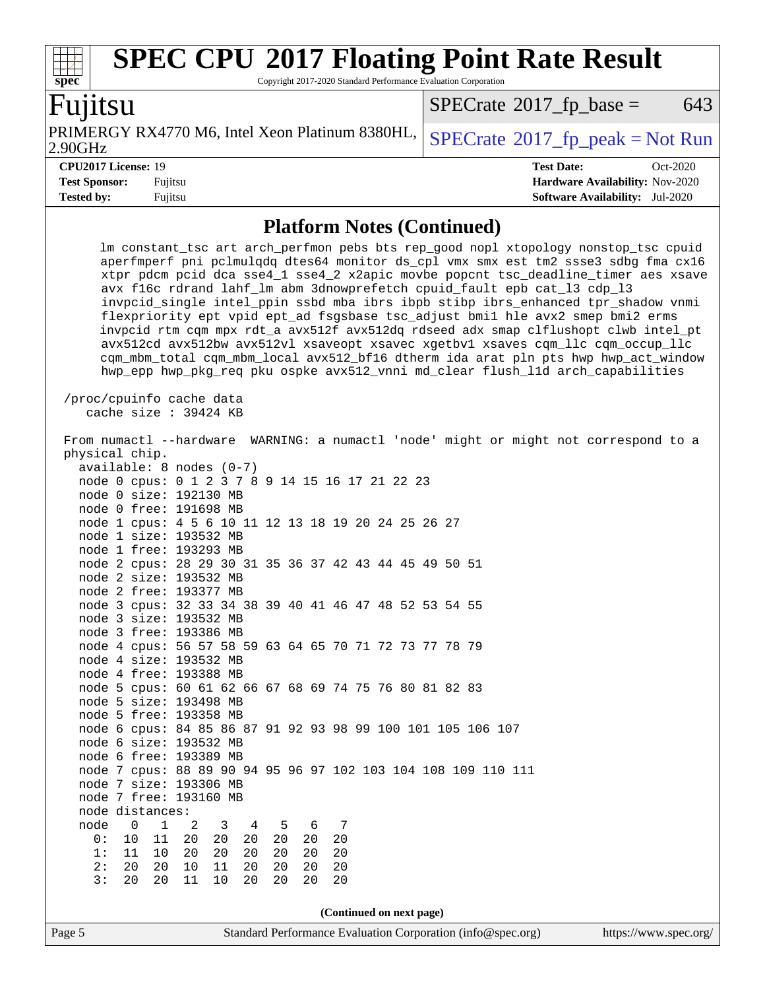#### **[spec](http://www.spec.org/) [SPEC CPU](http://www.spec.org/auto/cpu2017/Docs/result-fields.html#SPECCPU2017FloatingPointRateResult)[2017 Floating Point Rate Result](http://www.spec.org/auto/cpu2017/Docs/result-fields.html#SPECCPU2017FloatingPointRateResult)** Copyright 2017-2020 Standard Performance Evaluation Corporation Fujitsu 2.90GHz PRIMERGY RX4770 M6, Intel Xeon Platinum 8380HL,  $\left|$  [SPECrate](http://www.spec.org/auto/cpu2017/Docs/result-fields.html#SPECrate2017fppeak)®[2017\\_fp\\_peak = N](http://www.spec.org/auto/cpu2017/Docs/result-fields.html#SPECrate2017fppeak)ot Run  $SPECTate$ <sup>®</sup>[2017\\_fp\\_base =](http://www.spec.org/auto/cpu2017/Docs/result-fields.html#SPECrate2017fpbase) 643 **[CPU2017 License:](http://www.spec.org/auto/cpu2017/Docs/result-fields.html#CPU2017License)** 19 **[Test Date:](http://www.spec.org/auto/cpu2017/Docs/result-fields.html#TestDate)** Oct-2020

**[Test Sponsor:](http://www.spec.org/auto/cpu2017/Docs/result-fields.html#TestSponsor)** Fujitsu **[Hardware Availability:](http://www.spec.org/auto/cpu2017/Docs/result-fields.html#HardwareAvailability)** Nov-2020 **[Tested by:](http://www.spec.org/auto/cpu2017/Docs/result-fields.html#Testedby)** Fujitsu **[Software Availability:](http://www.spec.org/auto/cpu2017/Docs/result-fields.html#SoftwareAvailability)** Jul-2020

#### **[Platform Notes \(Continued\)](http://www.spec.org/auto/cpu2017/Docs/result-fields.html#PlatformNotes)**

 lm constant\_tsc art arch\_perfmon pebs bts rep\_good nopl xtopology nonstop\_tsc cpuid aperfmperf pni pclmulqdq dtes64 monitor ds\_cpl vmx smx est tm2 ssse3 sdbg fma cx16 xtpr pdcm pcid dca sse4\_1 sse4\_2 x2apic movbe popcnt tsc\_deadline\_timer aes xsave avx f16c rdrand lahf\_lm abm 3dnowprefetch cpuid\_fault epb cat\_l3 cdp\_l3 invpcid\_single intel\_ppin ssbd mba ibrs ibpb stibp ibrs\_enhanced tpr\_shadow vnmi flexpriority ept vpid ept\_ad fsgsbase tsc\_adjust bmi1 hle avx2 smep bmi2 erms invpcid rtm cqm mpx rdt\_a avx512f avx512dq rdseed adx smap clflushopt clwb intel\_pt avx512cd avx512bw avx512vl xsaveopt xsavec xgetbv1 xsaves cqm\_llc cqm\_occup\_llc cqm\_mbm\_total cqm\_mbm\_local avx512\_bf16 dtherm ida arat pln pts hwp hwp\_act\_window hwp\_epp hwp\_pkg\_req pku ospke avx512\_vnni md\_clear flush\_l1d arch\_capabilities /proc/cpuinfo cache data cache size : 39424 KB From numactl --hardware WARNING: a numactl 'node' might or might not correspond to a physical chip. available: 8 nodes (0-7) node 0 cpus: 0 1 2 3 7 8 9 14 15 16 17 21 22 23 node 0 size: 192130 MB node 0 free: 191698 MB node 1 cpus: 4 5 6 10 11 12 13 18 19 20 24 25 26 27 node 1 size: 193532 MB node 1 free: 193293 MB node 2 cpus: 28 29 30 31 35 36 37 42 43 44 45 49 50 51 node 2 size: 193532 MB node 2 free: 193377 MB node 3 cpus: 32 33 34 38 39 40 41 46 47 48 52 53 54 55 node 3 size: 193532 MB node 3 free: 193386 MB node 4 cpus: 56 57 58 59 63 64 65 70 71 72 73 77 78 79 node 4 size: 193532 MB node 4 free: 193388 MB node 5 cpus: 60 61 62 66 67 68 69 74 75 76 80 81 82 83 node 5 size: 193498 MB node 5 free: 193358 MB node 6 cpus: 84 85 86 87 91 92 93 98 99 100 101 105 106 107 node 6 size: 193532 MB node 6 free: 193389 MB node 7 cpus: 88 89 90 94 95 96 97 102 103 104 108 109 110 111 node 7 size: 193306 MB node 7 free: 193160 MB node distances: node 0 1 2 3 4 5 6 7 0: 10 11 20 20 20 20 20 20 1: 11 10 20 20 20 20 20 20 2: 20 20 10 11 20 20 20 20 3: 20 20 11 10 20 20 20 20 **(Continued on next page)**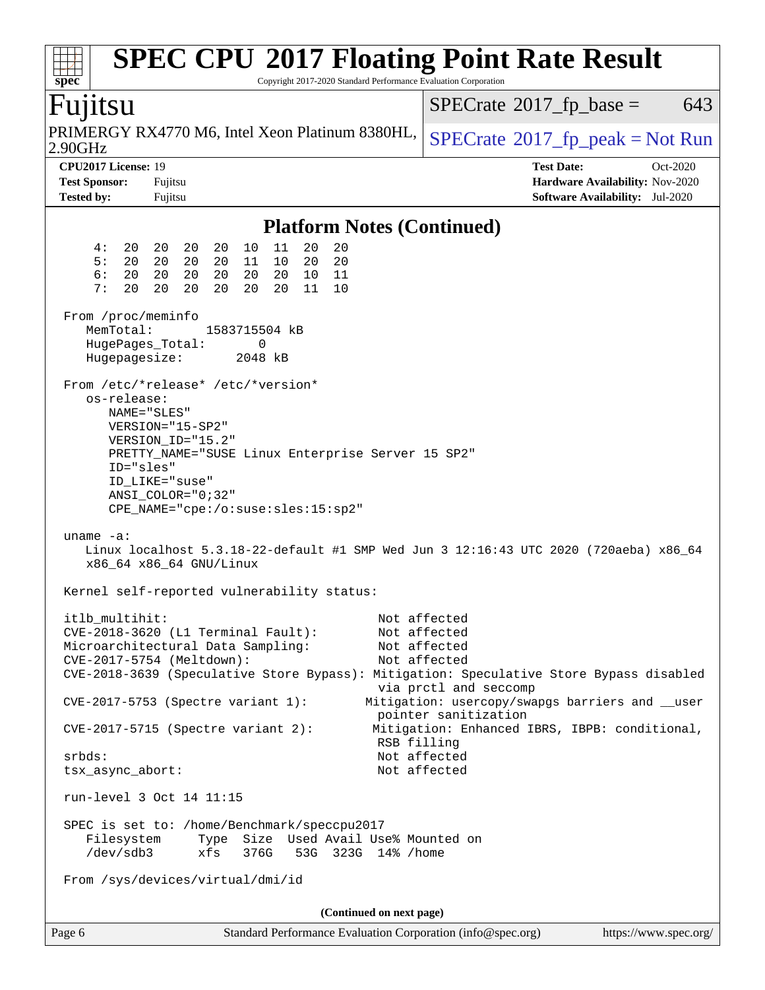| <b>SPEC CPU®2017 Floating Point Rate Result</b><br>Spec<br>Copyright 2017-2020 Standard Performance Evaluation Corporation                                                                                                                                                                                                                                                   |                                                                                                                                                                                                                   |
|------------------------------------------------------------------------------------------------------------------------------------------------------------------------------------------------------------------------------------------------------------------------------------------------------------------------------------------------------------------------------|-------------------------------------------------------------------------------------------------------------------------------------------------------------------------------------------------------------------|
| Fujitsu                                                                                                                                                                                                                                                                                                                                                                      | $SPECrate^{\circledast}2017$ _fp_base =<br>643                                                                                                                                                                    |
| PRIMERGY RX4770 M6, Intel Xeon Platinum 8380HL,<br>2.90GHz                                                                                                                                                                                                                                                                                                                   | $SPECrate^{\circ}2017$ _fp_peak = Not Run                                                                                                                                                                         |
| CPU2017 License: 19<br><b>Test Sponsor:</b><br>Fujitsu<br><b>Tested by:</b><br>Fujitsu                                                                                                                                                                                                                                                                                       | <b>Test Date:</b><br>Oct-2020<br>Hardware Availability: Nov-2020<br><b>Software Availability:</b> Jul-2020                                                                                                        |
| <b>Platform Notes (Continued)</b>                                                                                                                                                                                                                                                                                                                                            |                                                                                                                                                                                                                   |
| 20<br>4:<br>10<br>11<br>20<br>20<br>20<br>20<br>20<br>5:<br>20<br>20<br>10<br>20<br>20<br>20<br>20<br>11<br>6:<br>20<br>20<br>20<br>20<br>20<br>10<br>11<br>20<br>7:<br>20<br>20<br>20<br>20<br>20<br>11<br>20<br>10                                                                                                                                                         |                                                                                                                                                                                                                   |
| From /proc/meminfo<br>MemTotal:<br>1583715504 kB<br>HugePages_Total:<br>0<br>Hugepagesize:<br>2048 kB                                                                                                                                                                                                                                                                        |                                                                                                                                                                                                                   |
| From /etc/*release* /etc/*version*<br>os-release:<br>NAME="SLES"<br>$VERSION = "15-SP2"$<br>VERSION_ID="15.2"<br>PRETTY_NAME="SUSE Linux Enterprise Server 15 SP2"<br>ID="sles"<br>ID_LIKE="suse"<br>$ANSI$ _COLOR=" $0:32$ "<br>CPE_NAME="cpe:/o:suse:sles:15:sp2"<br>uname $-a$ :<br>Linux localhost 5.3.18-22-default #1 SMP Wed Jun 3 12:16:43 UTC 2020 (720aeba) x86_64 |                                                                                                                                                                                                                   |
| x86_64 x86_64 GNU/Linux<br>Kernel self-reported vulnerability status:                                                                                                                                                                                                                                                                                                        |                                                                                                                                                                                                                   |
| itlb_multihit:<br>CVE-2018-3620 (L1 Terminal Fault):<br>Microarchitectural Data Sampling:<br>CVE-2017-5754 (Meltdown):<br>CVE-2018-3639 (Speculative Store Bypass): Mitigation: Speculative Store Bypass disabled<br>CVE-2017-5753 (Spectre variant 1):<br>$CVE-2017-5715$ (Spectre variant 2):                                                                              | Not affected<br>Not affected<br>Not affected<br>Not affected<br>via prctl and seccomp<br>Mitigation: usercopy/swapgs barriers and __user<br>pointer sanitization<br>Mitigation: Enhanced IBRS, IBPB: conditional, |
| RSB filling<br>$srbds$ :<br>tsx_async_abort:                                                                                                                                                                                                                                                                                                                                 | Not affected<br>Not affected                                                                                                                                                                                      |
| run-level 3 Oct 14 11:15                                                                                                                                                                                                                                                                                                                                                     |                                                                                                                                                                                                                   |
| SPEC is set to: /home/Benchmark/speccpu2017<br>Size Used Avail Use% Mounted on<br>Filesystem<br>Type<br>$/\text{dev/sdb3}$<br>xfs<br>376G<br>53G 323G 14% / home<br>From /sys/devices/virtual/dmi/id                                                                                                                                                                         |                                                                                                                                                                                                                   |
| (Continued on next page)                                                                                                                                                                                                                                                                                                                                                     |                                                                                                                                                                                                                   |
| Standard Performance Evaluation Corporation (info@spec.org)<br>Page 6                                                                                                                                                                                                                                                                                                        | https://www.spec.org/                                                                                                                                                                                             |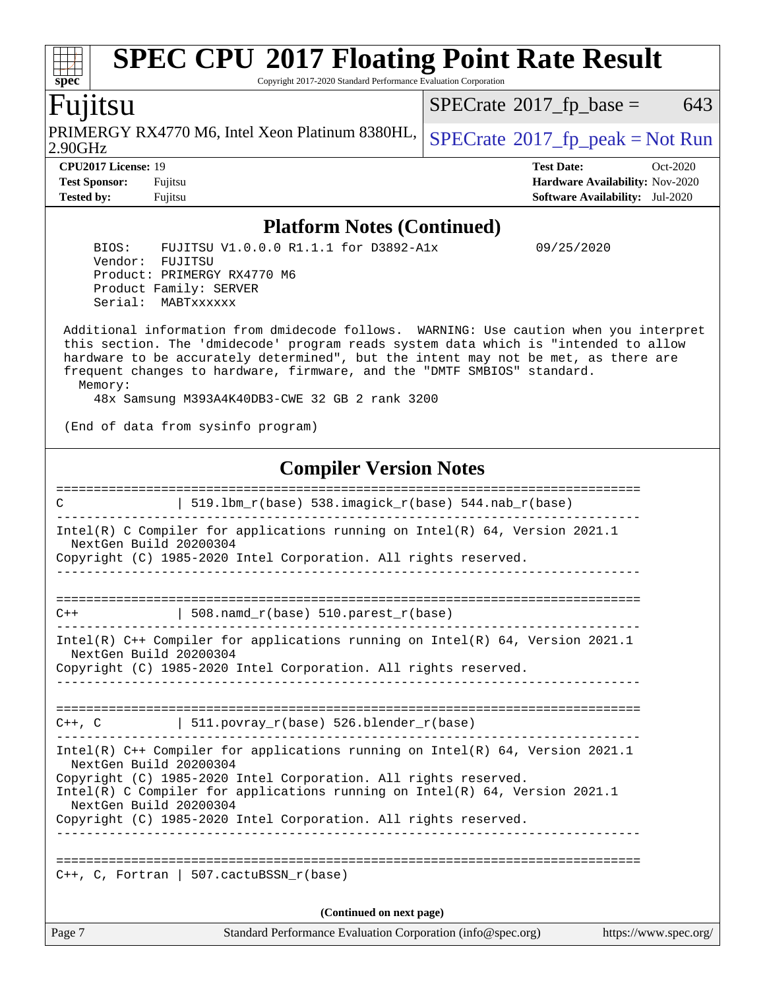#### Page 7 Standard Performance Evaluation Corporation [\(info@spec.org\)](mailto:info@spec.org) <https://www.spec.org/> **[spec](http://www.spec.org/) [SPEC CPU](http://www.spec.org/auto/cpu2017/Docs/result-fields.html#SPECCPU2017FloatingPointRateResult)[2017 Floating Point Rate Result](http://www.spec.org/auto/cpu2017/Docs/result-fields.html#SPECCPU2017FloatingPointRateResult)** Copyright 2017-2020 Standard Performance Evaluation Corporation Fujitsu 2.90GHz PRIMERGY RX4770 M6, Intel Xeon Platinum 8380HL,  $SPECrate^{\circ}2017\_fp\_peak = Not Run$  $SPECrate^{\circ}2017\_fp\_peak = Not Run$  $SPECTate$ <sup>®</sup>[2017\\_fp\\_base =](http://www.spec.org/auto/cpu2017/Docs/result-fields.html#SPECrate2017fpbase) 643 **[CPU2017 License:](http://www.spec.org/auto/cpu2017/Docs/result-fields.html#CPU2017License)** 19 **[Test Date:](http://www.spec.org/auto/cpu2017/Docs/result-fields.html#TestDate)** Oct-2020 **[Test Sponsor:](http://www.spec.org/auto/cpu2017/Docs/result-fields.html#TestSponsor)** Fujitsu **[Hardware Availability:](http://www.spec.org/auto/cpu2017/Docs/result-fields.html#HardwareAvailability)** Nov-2020 **[Tested by:](http://www.spec.org/auto/cpu2017/Docs/result-fields.html#Testedby)** Fujitsu **[Software Availability:](http://www.spec.org/auto/cpu2017/Docs/result-fields.html#SoftwareAvailability)** Jul-2020 **[Platform Notes \(Continued\)](http://www.spec.org/auto/cpu2017/Docs/result-fields.html#PlatformNotes)** BIOS: FUJITSU V1.0.0.0 R1.1.1 for D3892-A1x 09/25/2020 Vendor: FUJITSU Product: PRIMERGY RX4770 M6 Product Family: SERVER Serial: MABTxxxxxx Additional information from dmidecode follows. WARNING: Use caution when you interpret this section. The 'dmidecode' program reads system data which is "intended to allow hardware to be accurately determined", but the intent may not be met, as there are frequent changes to hardware, firmware, and the "DMTF SMBIOS" standard. Memory: 48x Samsung M393A4K40DB3-CWE 32 GB 2 rank 3200 (End of data from sysinfo program) **[Compiler Version Notes](http://www.spec.org/auto/cpu2017/Docs/result-fields.html#CompilerVersionNotes)** ============================================================================== C  $\vert$  519.1bm r(base) 538.imagick r(base) 544.nab r(base) ------------------------------------------------------------------------------ Intel(R) C Compiler for applications running on Intel(R) 64, Version 2021.1 NextGen Build 20200304 Copyright (C) 1985-2020 Intel Corporation. All rights reserved. ------------------------------------------------------------------------------ ==============================================================================  $C++$  | 508.namd\_r(base) 510.parest\_r(base) ------------------------------------------------------------------------------ Intel(R) C++ Compiler for applications running on Intel(R) 64, Version 2021.1 NextGen Build 20200304 Copyright (C) 1985-2020 Intel Corporation. All rights reserved. ------------------------------------------------------------------------------ ==============================================================================  $C++$ ,  $C$  | 511.povray\_r(base) 526.blender\_r(base) ------------------------------------------------------------------------------ Intel(R) C++ Compiler for applications running on Intel(R) 64, Version 2021.1 NextGen Build 20200304 Copyright (C) 1985-2020 Intel Corporation. All rights reserved. Intel(R) C Compiler for applications running on Intel(R) 64, Version 2021.1 NextGen Build 20200304 Copyright (C) 1985-2020 Intel Corporation. All rights reserved. ------------------------------------------------------------------------------ ==============================================================================  $C_{++}$ , C, Fortran | 507.cactuBSSN  $r(base)$ **(Continued on next page)**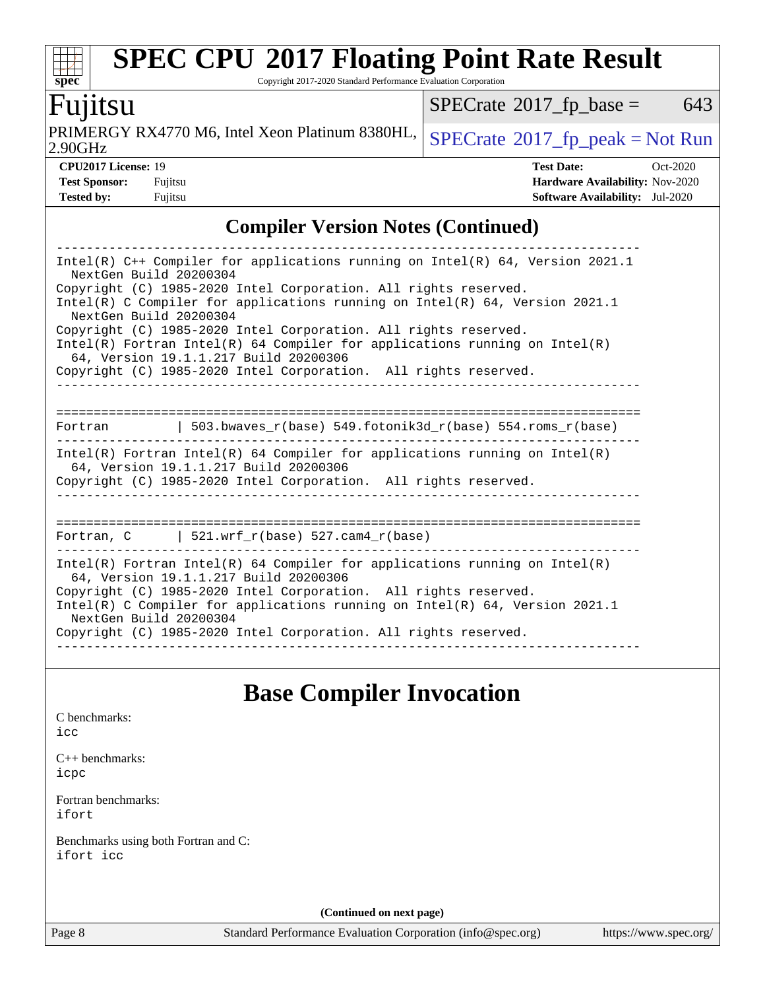# **[SPEC CPU](http://www.spec.org/auto/cpu2017/Docs/result-fields.html#SPECCPU2017FloatingPointRateResult)[2017 Floating Point Rate Result](http://www.spec.org/auto/cpu2017/Docs/result-fields.html#SPECCPU2017FloatingPointRateResult)**

Copyright 2017-2020 Standard Performance Evaluation Corporation

### Fujitsu

 $\overline{2.90}$ GHz PRIMERGY RX4770 M6, Intel Xeon Platinum 8380HL,  $SPECrate@2017$  $SPECrate@2017$  fp\_peak = Not Run

 $SPECTate@2017_fp\_base = 643$ 

| 2.900117                   |  |
|----------------------------|--|
| <b>CPU2017 License: 19</b> |  |

**[spec](http://www.spec.org/)**

 $+\ +$ 

| .90GHz                     |         | $21 + 10$                              |            |
|----------------------------|---------|----------------------------------------|------------|
| <b>CPU2017 License: 19</b> |         | <b>Test Date:</b>                      | $Oct-2020$ |
| <b>Test Sponsor:</b>       | Fujitsu | <b>Hardware Availability: Nov-2020</b> |            |

### **[Compiler Version Notes \(Continued\)](http://www.spec.org/auto/cpu2017/Docs/result-fields.html#CompilerVersionNotes)**

**[Tested by:](http://www.spec.org/auto/cpu2017/Docs/result-fields.html#Testedby)** Fujitsu **[Software Availability:](http://www.spec.org/auto/cpu2017/Docs/result-fields.html#SoftwareAvailability)** Jul-2020

| Intel(R) $C++$ Compiler for applications running on Intel(R) 64, Version 2021.1<br>NextGen Build 20200304             |
|-----------------------------------------------------------------------------------------------------------------------|
| Copyright (C) 1985-2020 Intel Corporation. All rights reserved.                                                       |
| Intel(R) C Compiler for applications running on Intel(R) $64$ , Version 2021.1<br>NextGen Build 20200304              |
| Copyright (C) 1985-2020 Intel Corporation. All rights reserved.                                                       |
| Intel(R) Fortran Intel(R) 64 Compiler for applications running on Intel(R)<br>64, Version 19.1.1.217 Build 20200306   |
| Copyright (C) 1985-2020 Intel Corporation. All rights reserved.                                                       |
|                                                                                                                       |
| 503.bwaves $r(base)$ 549.fotonik3d $r(base)$ 554.roms $r(base)$<br>Fortran                                            |
| $Intel(R)$ Fortran Intel(R) 64 Compiler for applications running on Intel(R)<br>64, Version 19.1.1.217 Build 20200306 |
| Copyright (C) 1985-2020 Intel Corporation. All rights reserved.                                                       |
|                                                                                                                       |
| Fortran, C $\vert$ 521.wrf r(base) 527.cam4 r(base)                                                                   |
| Intel(R) Fortran Intel(R) 64 Compiler for applications running on Intel(R)<br>64, Version 19.1.1.217 Build 20200306   |
| Copyright (C) 1985-2020 Intel Corporation. All rights reserved.                                                       |
| Intel(R) C Compiler for applications running on Intel(R) $64$ , Version 2021.1<br>NextGen Build 20200304              |
| Copyright (C) 1985-2020 Intel Corporation. All rights reserved.                                                       |

### **[Base Compiler Invocation](http://www.spec.org/auto/cpu2017/Docs/result-fields.html#BaseCompilerInvocation)**

[C benchmarks](http://www.spec.org/auto/cpu2017/Docs/result-fields.html#Cbenchmarks): [icc](http://www.spec.org/cpu2017/results/res2020q4/cpu2017-20201013-24199.flags.html#user_CCbase_intel_icc_66fc1ee009f7361af1fbd72ca7dcefbb700085f36577c54f309893dd4ec40d12360134090235512931783d35fd58c0460139e722d5067c5574d8eaf2b3e37e92)

[C++ benchmarks:](http://www.spec.org/auto/cpu2017/Docs/result-fields.html#CXXbenchmarks) [icpc](http://www.spec.org/cpu2017/results/res2020q4/cpu2017-20201013-24199.flags.html#user_CXXbase_intel_icpc_c510b6838c7f56d33e37e94d029a35b4a7bccf4766a728ee175e80a419847e808290a9b78be685c44ab727ea267ec2f070ec5dc83b407c0218cded6866a35d07)

[Fortran benchmarks](http://www.spec.org/auto/cpu2017/Docs/result-fields.html#Fortranbenchmarks): [ifort](http://www.spec.org/cpu2017/results/res2020q4/cpu2017-20201013-24199.flags.html#user_FCbase_intel_ifort_8111460550e3ca792625aed983ce982f94888b8b503583aa7ba2b8303487b4d8a21a13e7191a45c5fd58ff318f48f9492884d4413fa793fd88dd292cad7027ca)

[Benchmarks using both Fortran and C](http://www.spec.org/auto/cpu2017/Docs/result-fields.html#BenchmarksusingbothFortranandC): [ifort](http://www.spec.org/cpu2017/results/res2020q4/cpu2017-20201013-24199.flags.html#user_CC_FCbase_intel_ifort_8111460550e3ca792625aed983ce982f94888b8b503583aa7ba2b8303487b4d8a21a13e7191a45c5fd58ff318f48f9492884d4413fa793fd88dd292cad7027ca) [icc](http://www.spec.org/cpu2017/results/res2020q4/cpu2017-20201013-24199.flags.html#user_CC_FCbase_intel_icc_66fc1ee009f7361af1fbd72ca7dcefbb700085f36577c54f309893dd4ec40d12360134090235512931783d35fd58c0460139e722d5067c5574d8eaf2b3e37e92)

**(Continued on next page)**

Page 8 Standard Performance Evaluation Corporation [\(info@spec.org\)](mailto:info@spec.org) <https://www.spec.org/>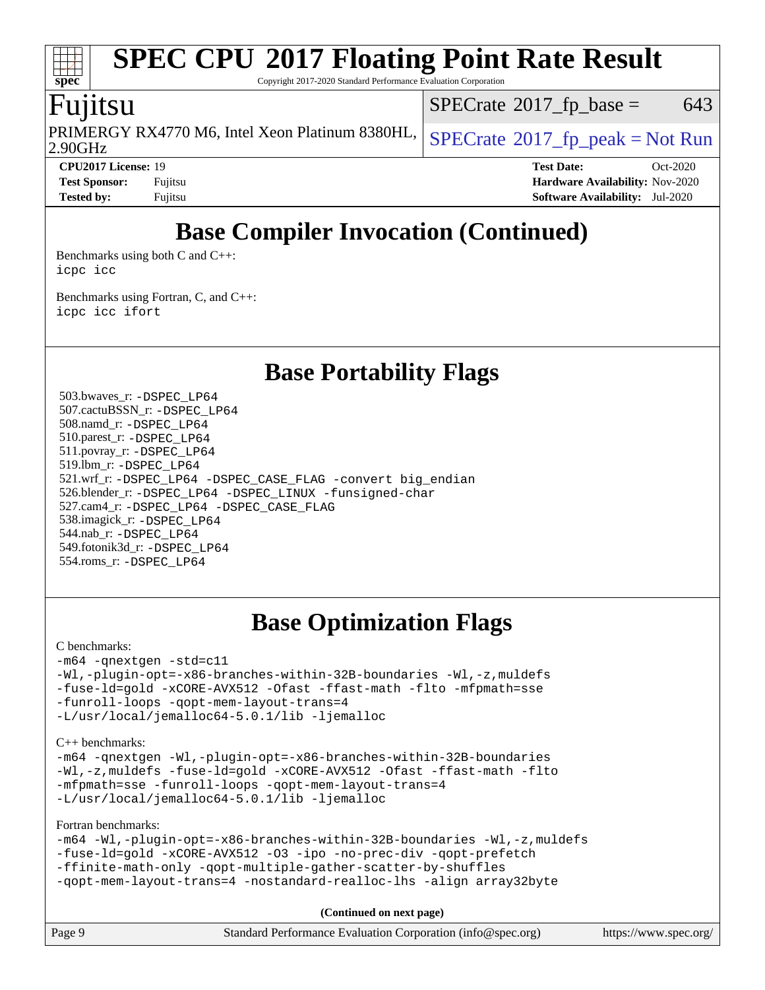# **[SPEC CPU](http://www.spec.org/auto/cpu2017/Docs/result-fields.html#SPECCPU2017FloatingPointRateResult)[2017 Floating Point Rate Result](http://www.spec.org/auto/cpu2017/Docs/result-fields.html#SPECCPU2017FloatingPointRateResult)**

Copyright 2017-2020 Standard Performance Evaluation Corporation

### Fujitsu

2.90GHz PRIMERGY RX4770 M6, Intel Xeon Platinum 8380HL,  $\left|$  [SPECrate](http://www.spec.org/auto/cpu2017/Docs/result-fields.html#SPECrate2017fppeak)®[2017\\_fp\\_peak = N](http://www.spec.org/auto/cpu2017/Docs/result-fields.html#SPECrate2017fppeak)ot Run

 $SPECTate$ <sup>®</sup>[2017\\_fp\\_base =](http://www.spec.org/auto/cpu2017/Docs/result-fields.html#SPECrate2017fpbase) 643

**[spec](http://www.spec.org/)**

**[CPU2017 License:](http://www.spec.org/auto/cpu2017/Docs/result-fields.html#CPU2017License)** 19 **[Test Date:](http://www.spec.org/auto/cpu2017/Docs/result-fields.html#TestDate)** Oct-2020 **[Test Sponsor:](http://www.spec.org/auto/cpu2017/Docs/result-fields.html#TestSponsor)** Fujitsu **[Hardware Availability:](http://www.spec.org/auto/cpu2017/Docs/result-fields.html#HardwareAvailability)** Nov-2020 **[Tested by:](http://www.spec.org/auto/cpu2017/Docs/result-fields.html#Testedby)** Fujitsu **[Software Availability:](http://www.spec.org/auto/cpu2017/Docs/result-fields.html#SoftwareAvailability)** Jul-2020

# **[Base Compiler Invocation \(Continued\)](http://www.spec.org/auto/cpu2017/Docs/result-fields.html#BaseCompilerInvocation)**

[Benchmarks using both C and C++](http://www.spec.org/auto/cpu2017/Docs/result-fields.html#BenchmarksusingbothCandCXX): [icpc](http://www.spec.org/cpu2017/results/res2020q4/cpu2017-20201013-24199.flags.html#user_CC_CXXbase_intel_icpc_c510b6838c7f56d33e37e94d029a35b4a7bccf4766a728ee175e80a419847e808290a9b78be685c44ab727ea267ec2f070ec5dc83b407c0218cded6866a35d07) [icc](http://www.spec.org/cpu2017/results/res2020q4/cpu2017-20201013-24199.flags.html#user_CC_CXXbase_intel_icc_66fc1ee009f7361af1fbd72ca7dcefbb700085f36577c54f309893dd4ec40d12360134090235512931783d35fd58c0460139e722d5067c5574d8eaf2b3e37e92)

[Benchmarks using Fortran, C, and C++:](http://www.spec.org/auto/cpu2017/Docs/result-fields.html#BenchmarksusingFortranCandCXX) [icpc](http://www.spec.org/cpu2017/results/res2020q4/cpu2017-20201013-24199.flags.html#user_CC_CXX_FCbase_intel_icpc_c510b6838c7f56d33e37e94d029a35b4a7bccf4766a728ee175e80a419847e808290a9b78be685c44ab727ea267ec2f070ec5dc83b407c0218cded6866a35d07) [icc](http://www.spec.org/cpu2017/results/res2020q4/cpu2017-20201013-24199.flags.html#user_CC_CXX_FCbase_intel_icc_66fc1ee009f7361af1fbd72ca7dcefbb700085f36577c54f309893dd4ec40d12360134090235512931783d35fd58c0460139e722d5067c5574d8eaf2b3e37e92) [ifort](http://www.spec.org/cpu2017/results/res2020q4/cpu2017-20201013-24199.flags.html#user_CC_CXX_FCbase_intel_ifort_8111460550e3ca792625aed983ce982f94888b8b503583aa7ba2b8303487b4d8a21a13e7191a45c5fd58ff318f48f9492884d4413fa793fd88dd292cad7027ca)

**[Base Portability Flags](http://www.spec.org/auto/cpu2017/Docs/result-fields.html#BasePortabilityFlags)**

 503.bwaves\_r: [-DSPEC\\_LP64](http://www.spec.org/cpu2017/results/res2020q4/cpu2017-20201013-24199.flags.html#suite_basePORTABILITY503_bwaves_r_DSPEC_LP64) 507.cactuBSSN\_r: [-DSPEC\\_LP64](http://www.spec.org/cpu2017/results/res2020q4/cpu2017-20201013-24199.flags.html#suite_basePORTABILITY507_cactuBSSN_r_DSPEC_LP64) 508.namd\_r: [-DSPEC\\_LP64](http://www.spec.org/cpu2017/results/res2020q4/cpu2017-20201013-24199.flags.html#suite_basePORTABILITY508_namd_r_DSPEC_LP64) 510.parest\_r: [-DSPEC\\_LP64](http://www.spec.org/cpu2017/results/res2020q4/cpu2017-20201013-24199.flags.html#suite_basePORTABILITY510_parest_r_DSPEC_LP64) 511.povray\_r: [-DSPEC\\_LP64](http://www.spec.org/cpu2017/results/res2020q4/cpu2017-20201013-24199.flags.html#suite_basePORTABILITY511_povray_r_DSPEC_LP64) 519.lbm\_r: [-DSPEC\\_LP64](http://www.spec.org/cpu2017/results/res2020q4/cpu2017-20201013-24199.flags.html#suite_basePORTABILITY519_lbm_r_DSPEC_LP64) 521.wrf\_r: [-DSPEC\\_LP64](http://www.spec.org/cpu2017/results/res2020q4/cpu2017-20201013-24199.flags.html#suite_basePORTABILITY521_wrf_r_DSPEC_LP64) [-DSPEC\\_CASE\\_FLAG](http://www.spec.org/cpu2017/results/res2020q4/cpu2017-20201013-24199.flags.html#b521.wrf_r_baseCPORTABILITY_DSPEC_CASE_FLAG) [-convert big\\_endian](http://www.spec.org/cpu2017/results/res2020q4/cpu2017-20201013-24199.flags.html#user_baseFPORTABILITY521_wrf_r_convert_big_endian_c3194028bc08c63ac5d04de18c48ce6d347e4e562e8892b8bdbdc0214820426deb8554edfa529a3fb25a586e65a3d812c835984020483e7e73212c4d31a38223) 526.blender\_r: [-DSPEC\\_LP64](http://www.spec.org/cpu2017/results/res2020q4/cpu2017-20201013-24199.flags.html#suite_basePORTABILITY526_blender_r_DSPEC_LP64) [-DSPEC\\_LINUX](http://www.spec.org/cpu2017/results/res2020q4/cpu2017-20201013-24199.flags.html#b526.blender_r_baseCPORTABILITY_DSPEC_LINUX) [-funsigned-char](http://www.spec.org/cpu2017/results/res2020q4/cpu2017-20201013-24199.flags.html#user_baseCPORTABILITY526_blender_r_force_uchar_40c60f00ab013830e2dd6774aeded3ff59883ba5a1fc5fc14077f794d777847726e2a5858cbc7672e36e1b067e7e5c1d9a74f7176df07886a243d7cc18edfe67) 527.cam4\_r: [-DSPEC\\_LP64](http://www.spec.org/cpu2017/results/res2020q4/cpu2017-20201013-24199.flags.html#suite_basePORTABILITY527_cam4_r_DSPEC_LP64) [-DSPEC\\_CASE\\_FLAG](http://www.spec.org/cpu2017/results/res2020q4/cpu2017-20201013-24199.flags.html#b527.cam4_r_baseCPORTABILITY_DSPEC_CASE_FLAG) 538.imagick\_r: [-DSPEC\\_LP64](http://www.spec.org/cpu2017/results/res2020q4/cpu2017-20201013-24199.flags.html#suite_basePORTABILITY538_imagick_r_DSPEC_LP64) 544.nab\_r: [-DSPEC\\_LP64](http://www.spec.org/cpu2017/results/res2020q4/cpu2017-20201013-24199.flags.html#suite_basePORTABILITY544_nab_r_DSPEC_LP64) 549.fotonik3d\_r: [-DSPEC\\_LP64](http://www.spec.org/cpu2017/results/res2020q4/cpu2017-20201013-24199.flags.html#suite_basePORTABILITY549_fotonik3d_r_DSPEC_LP64) 554.roms\_r: [-DSPEC\\_LP64](http://www.spec.org/cpu2017/results/res2020q4/cpu2017-20201013-24199.flags.html#suite_basePORTABILITY554_roms_r_DSPEC_LP64)

### **[Base Optimization Flags](http://www.spec.org/auto/cpu2017/Docs/result-fields.html#BaseOptimizationFlags)**

#### [C benchmarks](http://www.spec.org/auto/cpu2017/Docs/result-fields.html#Cbenchmarks):

[-m64](http://www.spec.org/cpu2017/results/res2020q4/cpu2017-20201013-24199.flags.html#user_CCbase_m64-icc) [-qnextgen](http://www.spec.org/cpu2017/results/res2020q4/cpu2017-20201013-24199.flags.html#user_CCbase_f-qnextgen) [-std=c11](http://www.spec.org/cpu2017/results/res2020q4/cpu2017-20201013-24199.flags.html#user_CCbase_std-icc-std_0e1c27790398a4642dfca32ffe6c27b5796f9c2d2676156f2e42c9c44eaad0c049b1cdb667a270c34d979996257aeb8fc440bfb01818dbc9357bd9d174cb8524) [-Wl,-plugin-opt=-x86-branches-within-32B-boundaries](http://www.spec.org/cpu2017/results/res2020q4/cpu2017-20201013-24199.flags.html#user_CCbase_f-x86-branches-within-32B-boundaries_0098b4e4317ae60947b7b728078a624952a08ac37a3c797dfb4ffeb399e0c61a9dd0f2f44ce917e9361fb9076ccb15e7824594512dd315205382d84209e912f3) [-Wl,-z,muldefs](http://www.spec.org/cpu2017/results/res2020q4/cpu2017-20201013-24199.flags.html#user_CCbase_link_force_multiple1_b4cbdb97b34bdee9ceefcfe54f4c8ea74255f0b02a4b23e853cdb0e18eb4525ac79b5a88067c842dd0ee6996c24547a27a4b99331201badda8798ef8a743f577) [-fuse-ld=gold](http://www.spec.org/cpu2017/results/res2020q4/cpu2017-20201013-24199.flags.html#user_CCbase_f-fuse-ld_920b3586e2b8c6e0748b9c84fa9b744736ba725a32cab14ad8f3d4ad28eecb2f59d1144823d2e17006539a88734fe1fc08fc3035f7676166309105a78aaabc32) [-xCORE-AVX512](http://www.spec.org/cpu2017/results/res2020q4/cpu2017-20201013-24199.flags.html#user_CCbase_f-xCORE-AVX512) [-Ofast](http://www.spec.org/cpu2017/results/res2020q4/cpu2017-20201013-24199.flags.html#user_CCbase_f-Ofast) [-ffast-math](http://www.spec.org/cpu2017/results/res2020q4/cpu2017-20201013-24199.flags.html#user_CCbase_f-ffast-math) [-flto](http://www.spec.org/cpu2017/results/res2020q4/cpu2017-20201013-24199.flags.html#user_CCbase_f-flto) [-mfpmath=sse](http://www.spec.org/cpu2017/results/res2020q4/cpu2017-20201013-24199.flags.html#user_CCbase_f-mfpmath_70eb8fac26bde974f8ab713bc9086c5621c0b8d2f6c86f38af0bd7062540daf19db5f3a066d8c6684be05d84c9b6322eb3b5be6619d967835195b93d6c02afa1) [-funroll-loops](http://www.spec.org/cpu2017/results/res2020q4/cpu2017-20201013-24199.flags.html#user_CCbase_f-funroll-loops) [-qopt-mem-layout-trans=4](http://www.spec.org/cpu2017/results/res2020q4/cpu2017-20201013-24199.flags.html#user_CCbase_f-qopt-mem-layout-trans_fa39e755916c150a61361b7846f310bcdf6f04e385ef281cadf3647acec3f0ae266d1a1d22d972a7087a248fd4e6ca390a3634700869573d231a252c784941a8) [-L/usr/local/jemalloc64-5.0.1/lib](http://www.spec.org/cpu2017/results/res2020q4/cpu2017-20201013-24199.flags.html#user_CCbase_jemalloc_link_path64_1_cc289568b1a6c0fd3b62c91b824c27fcb5af5e8098e6ad028160d21144ef1b8aef3170d2acf0bee98a8da324cfe4f67d0a3d0c4cc4673d993d694dc2a0df248b) [-ljemalloc](http://www.spec.org/cpu2017/results/res2020q4/cpu2017-20201013-24199.flags.html#user_CCbase_jemalloc_link_lib_d1249b907c500fa1c0672f44f562e3d0f79738ae9e3c4a9c376d49f265a04b9c99b167ecedbf6711b3085be911c67ff61f150a17b3472be731631ba4d0471706)

[C++ benchmarks:](http://www.spec.org/auto/cpu2017/Docs/result-fields.html#CXXbenchmarks)

[-m64](http://www.spec.org/cpu2017/results/res2020q4/cpu2017-20201013-24199.flags.html#user_CXXbase_m64-icc) [-qnextgen](http://www.spec.org/cpu2017/results/res2020q4/cpu2017-20201013-24199.flags.html#user_CXXbase_f-qnextgen) [-Wl,-plugin-opt=-x86-branches-within-32B-boundaries](http://www.spec.org/cpu2017/results/res2020q4/cpu2017-20201013-24199.flags.html#user_CXXbase_f-x86-branches-within-32B-boundaries_0098b4e4317ae60947b7b728078a624952a08ac37a3c797dfb4ffeb399e0c61a9dd0f2f44ce917e9361fb9076ccb15e7824594512dd315205382d84209e912f3) [-Wl,-z,muldefs](http://www.spec.org/cpu2017/results/res2020q4/cpu2017-20201013-24199.flags.html#user_CXXbase_link_force_multiple1_b4cbdb97b34bdee9ceefcfe54f4c8ea74255f0b02a4b23e853cdb0e18eb4525ac79b5a88067c842dd0ee6996c24547a27a4b99331201badda8798ef8a743f577) [-fuse-ld=gold](http://www.spec.org/cpu2017/results/res2020q4/cpu2017-20201013-24199.flags.html#user_CXXbase_f-fuse-ld_920b3586e2b8c6e0748b9c84fa9b744736ba725a32cab14ad8f3d4ad28eecb2f59d1144823d2e17006539a88734fe1fc08fc3035f7676166309105a78aaabc32) [-xCORE-AVX512](http://www.spec.org/cpu2017/results/res2020q4/cpu2017-20201013-24199.flags.html#user_CXXbase_f-xCORE-AVX512) [-Ofast](http://www.spec.org/cpu2017/results/res2020q4/cpu2017-20201013-24199.flags.html#user_CXXbase_f-Ofast) [-ffast-math](http://www.spec.org/cpu2017/results/res2020q4/cpu2017-20201013-24199.flags.html#user_CXXbase_f-ffast-math) [-flto](http://www.spec.org/cpu2017/results/res2020q4/cpu2017-20201013-24199.flags.html#user_CXXbase_f-flto) [-mfpmath=sse](http://www.spec.org/cpu2017/results/res2020q4/cpu2017-20201013-24199.flags.html#user_CXXbase_f-mfpmath_70eb8fac26bde974f8ab713bc9086c5621c0b8d2f6c86f38af0bd7062540daf19db5f3a066d8c6684be05d84c9b6322eb3b5be6619d967835195b93d6c02afa1) [-funroll-loops](http://www.spec.org/cpu2017/results/res2020q4/cpu2017-20201013-24199.flags.html#user_CXXbase_f-funroll-loops) [-qopt-mem-layout-trans=4](http://www.spec.org/cpu2017/results/res2020q4/cpu2017-20201013-24199.flags.html#user_CXXbase_f-qopt-mem-layout-trans_fa39e755916c150a61361b7846f310bcdf6f04e385ef281cadf3647acec3f0ae266d1a1d22d972a7087a248fd4e6ca390a3634700869573d231a252c784941a8) [-L/usr/local/jemalloc64-5.0.1/lib](http://www.spec.org/cpu2017/results/res2020q4/cpu2017-20201013-24199.flags.html#user_CXXbase_jemalloc_link_path64_1_cc289568b1a6c0fd3b62c91b824c27fcb5af5e8098e6ad028160d21144ef1b8aef3170d2acf0bee98a8da324cfe4f67d0a3d0c4cc4673d993d694dc2a0df248b) [-ljemalloc](http://www.spec.org/cpu2017/results/res2020q4/cpu2017-20201013-24199.flags.html#user_CXXbase_jemalloc_link_lib_d1249b907c500fa1c0672f44f562e3d0f79738ae9e3c4a9c376d49f265a04b9c99b167ecedbf6711b3085be911c67ff61f150a17b3472be731631ba4d0471706)

[Fortran benchmarks](http://www.spec.org/auto/cpu2017/Docs/result-fields.html#Fortranbenchmarks):

[-m64](http://www.spec.org/cpu2017/results/res2020q4/cpu2017-20201013-24199.flags.html#user_FCbase_m64-icc) [-Wl,-plugin-opt=-x86-branches-within-32B-boundaries](http://www.spec.org/cpu2017/results/res2020q4/cpu2017-20201013-24199.flags.html#user_FCbase_f-x86-branches-within-32B-boundaries_0098b4e4317ae60947b7b728078a624952a08ac37a3c797dfb4ffeb399e0c61a9dd0f2f44ce917e9361fb9076ccb15e7824594512dd315205382d84209e912f3) [-Wl,-z,muldefs](http://www.spec.org/cpu2017/results/res2020q4/cpu2017-20201013-24199.flags.html#user_FCbase_link_force_multiple1_b4cbdb97b34bdee9ceefcfe54f4c8ea74255f0b02a4b23e853cdb0e18eb4525ac79b5a88067c842dd0ee6996c24547a27a4b99331201badda8798ef8a743f577) [-fuse-ld=gold](http://www.spec.org/cpu2017/results/res2020q4/cpu2017-20201013-24199.flags.html#user_FCbase_f-fuse-ld_920b3586e2b8c6e0748b9c84fa9b744736ba725a32cab14ad8f3d4ad28eecb2f59d1144823d2e17006539a88734fe1fc08fc3035f7676166309105a78aaabc32) [-xCORE-AVX512](http://www.spec.org/cpu2017/results/res2020q4/cpu2017-20201013-24199.flags.html#user_FCbase_f-xCORE-AVX512) [-O3](http://www.spec.org/cpu2017/results/res2020q4/cpu2017-20201013-24199.flags.html#user_FCbase_f-O3) [-ipo](http://www.spec.org/cpu2017/results/res2020q4/cpu2017-20201013-24199.flags.html#user_FCbase_f-ipo) [-no-prec-div](http://www.spec.org/cpu2017/results/res2020q4/cpu2017-20201013-24199.flags.html#user_FCbase_f-no-prec-div) [-qopt-prefetch](http://www.spec.org/cpu2017/results/res2020q4/cpu2017-20201013-24199.flags.html#user_FCbase_f-qopt-prefetch) [-ffinite-math-only](http://www.spec.org/cpu2017/results/res2020q4/cpu2017-20201013-24199.flags.html#user_FCbase_f_finite_math_only_cb91587bd2077682c4b38af759c288ed7c732db004271a9512da14a4f8007909a5f1427ecbf1a0fb78ff2a814402c6114ac565ca162485bbcae155b5e4258871) [-qopt-multiple-gather-scatter-by-shuffles](http://www.spec.org/cpu2017/results/res2020q4/cpu2017-20201013-24199.flags.html#user_FCbase_f-qopt-multiple-gather-scatter-by-shuffles) [-qopt-mem-layout-trans=4](http://www.spec.org/cpu2017/results/res2020q4/cpu2017-20201013-24199.flags.html#user_FCbase_f-qopt-mem-layout-trans_fa39e755916c150a61361b7846f310bcdf6f04e385ef281cadf3647acec3f0ae266d1a1d22d972a7087a248fd4e6ca390a3634700869573d231a252c784941a8) [-nostandard-realloc-lhs](http://www.spec.org/cpu2017/results/res2020q4/cpu2017-20201013-24199.flags.html#user_FCbase_f_2003_std_realloc_82b4557e90729c0f113870c07e44d33d6f5a304b4f63d4c15d2d0f1fab99f5daaed73bdb9275d9ae411527f28b936061aa8b9c8f2d63842963b95c9dd6426b8a) [-align array32byte](http://www.spec.org/cpu2017/results/res2020q4/cpu2017-20201013-24199.flags.html#user_FCbase_align_array32byte_b982fe038af199962ba9a80c053b8342c548c85b40b8e86eb3cc33dee0d7986a4af373ac2d51c3f7cf710a18d62fdce2948f201cd044323541f22fc0fffc51b6)

**(Continued on next page)**

| Page 9 | Standard Performance Evaluation Corporation (info@spec.org) | https://www.spec.org/ |
|--------|-------------------------------------------------------------|-----------------------|
|--------|-------------------------------------------------------------|-----------------------|